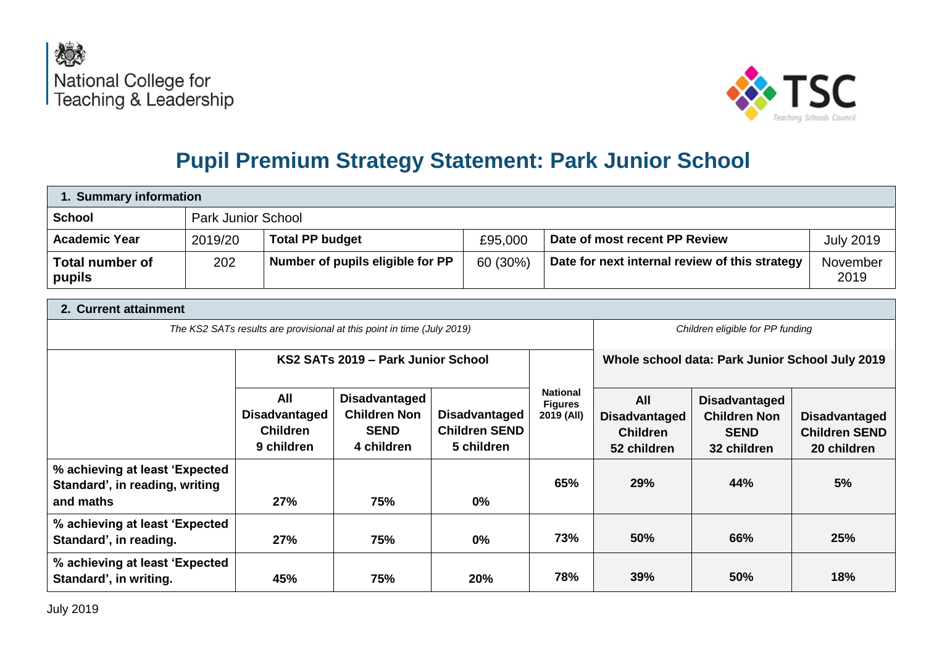



# **Pupil Premium Strategy Statement: Park Junior School**

| 1. Summary information           |         |                                  |          |                                                |                  |  |
|----------------------------------|---------|----------------------------------|----------|------------------------------------------------|------------------|--|
| <b>School</b>                    |         | <b>Park Junior School</b>        |          |                                                |                  |  |
| <b>Academic Year</b>             | 2019/20 | <b>Total PP budget</b>           | £95,000  | Date of most recent PP Review                  | <b>July 2019</b> |  |
| <b>Total number of</b><br>pupils | 202     | Number of pupils eligible for PP | 60 (30%) | Date for next internal review of this strategy | November<br>2019 |  |

| 2. Current attainment                                                         |                                                                        |                                                                          |                                                            |                                                 |                                                               |                                                                           |                                                             |  |
|-------------------------------------------------------------------------------|------------------------------------------------------------------------|--------------------------------------------------------------------------|------------------------------------------------------------|-------------------------------------------------|---------------------------------------------------------------|---------------------------------------------------------------------------|-------------------------------------------------------------|--|
|                                                                               | The KS2 SATs results are provisional at this point in time (July 2019) |                                                                          |                                                            |                                                 |                                                               | Children eligible for PP funding                                          |                                                             |  |
|                                                                               | KS2 SATs 2019 – Park Junior School                                     |                                                                          |                                                            | Whole school data: Park Junior School July 2019 |                                                               |                                                                           |                                                             |  |
|                                                                               | All<br><b>Disadvantaged</b><br><b>Children</b><br>9 children           | <b>Disadvantaged</b><br><b>Children Non</b><br><b>SEND</b><br>4 children | <b>Disadvantaged</b><br><b>Children SEND</b><br>5 children | <b>National</b><br><b>Figures</b><br>2019 (All) | All<br><b>Disadvantaged</b><br><b>Children</b><br>52 children | <b>Disadvantaged</b><br><b>Children Non</b><br><b>SEND</b><br>32 children | <b>Disadvantaged</b><br><b>Children SEND</b><br>20 children |  |
| % achieving at least 'Expected<br>Standard', in reading, writing<br>and maths | 27%                                                                    | 75%                                                                      | $0\%$                                                      | 65%                                             | 29%                                                           | 44%                                                                       | 5%                                                          |  |
| % achieving at least 'Expected<br>Standard', in reading.                      | 27%                                                                    | 75%                                                                      | $0\%$                                                      | 73%                                             | 50%                                                           | 66%                                                                       | 25%                                                         |  |
| % achieving at least 'Expected'<br>Standard', in writing.                     | 45%                                                                    | 75%                                                                      | 20%                                                        | 78%                                             | 39%                                                           | 50%                                                                       | 18%                                                         |  |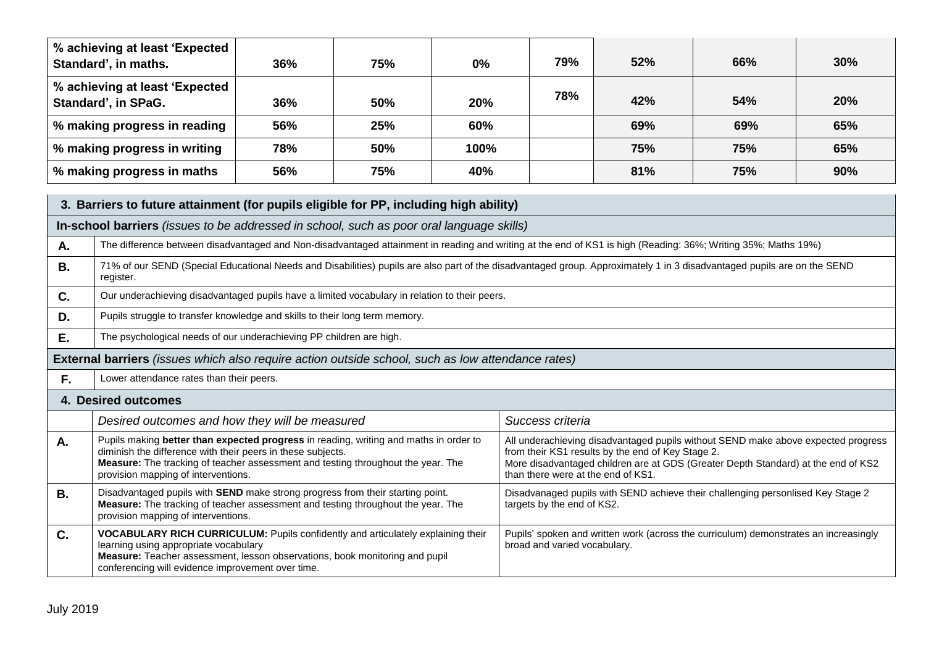|                                                                                                                                                                                   | % achieving at least 'Expected<br>Standard', in maths.                                                                                                                               | 36% | 75% | $0\%$ | 79% | 52% | 66% | 30% |
|-----------------------------------------------------------------------------------------------------------------------------------------------------------------------------------|--------------------------------------------------------------------------------------------------------------------------------------------------------------------------------------|-----|-----|-------|-----|-----|-----|-----|
|                                                                                                                                                                                   | % achieving at least 'Expected<br>Standard', in SPaG.                                                                                                                                | 36% | 50% | 20%   | 78% | 42% | 54% | 20% |
|                                                                                                                                                                                   | % making progress in reading                                                                                                                                                         | 56% | 25% | 60%   |     | 69% | 69% | 65% |
|                                                                                                                                                                                   | % making progress in writing                                                                                                                                                         | 78% | 50% | 100%  |     | 75% | 75% | 65% |
| % making progress in maths                                                                                                                                                        |                                                                                                                                                                                      | 56% | 75% | 40%   |     | 81% | 75% | 90% |
| 3. Barriers to future attainment (for pupils eligible for PP, including high ability)<br>In-school barriers (issues to be addressed in school, such as poor oral language skills) |                                                                                                                                                                                      |     |     |       |     |     |     |     |
| Α.                                                                                                                                                                                | The difference between disadvantaged and Non-disadvantaged attainment in reading and writing at the end of KS1 is high (Reading: 36%; Writing 35%; Maths 19%)                        |     |     |       |     |     |     |     |
| В.                                                                                                                                                                                | 71% of our SEND (Special Educational Needs and Disabilities) pupils are also part of the disadvantaged group. Approximately 1 in 3 disadvantaged pupils are on the SEND<br>register. |     |     |       |     |     |     |     |

- **C. Our underachieving disadvantaged pupils have a limited vocabulary in relation to their peers.**
- **D.** Pupils struggle to transfer knowledge and skills to their long term memory.
- **E.** The psychological needs of our underachieving PP children are high.

### **External barriers** *(issues which also require action outside school, such as low attendance rates)*

**F.** Lower attendance rates than their peers.

| г.        | Lower allohaanoo raloo than their poors.                                                                                                                                                                                                                                        |                                                                                                                                                                                                                                                                   |
|-----------|---------------------------------------------------------------------------------------------------------------------------------------------------------------------------------------------------------------------------------------------------------------------------------|-------------------------------------------------------------------------------------------------------------------------------------------------------------------------------------------------------------------------------------------------------------------|
|           | 4. Desired outcomes                                                                                                                                                                                                                                                             |                                                                                                                                                                                                                                                                   |
|           | Desired outcomes and how they will be measured                                                                                                                                                                                                                                  | Success criteria                                                                                                                                                                                                                                                  |
| Α.        | Pupils making better than expected progress in reading, writing and maths in order to<br>diminish the difference with their peers in these subjects.<br>Measure: The tracking of teacher assessment and testing throughout the year. The<br>provision mapping of interventions. | All underachieving disadvantaged pupils without SEND make above expected progress<br>from their KS1 results by the end of Key Stage 2.<br>More disadvantaged children are at GDS (Greater Depth Standard) at the end of KS2<br>than there were at the end of KS1. |
| <b>B.</b> | Disadvantaged pupils with SEND make strong progress from their starting point.<br><b>Measure:</b> The tracking of teacher assessment and testing throughout the year. The<br>provision mapping of interventions.                                                                | Disadvanaged pupils with SEND achieve their challenging personlised Key Stage 2<br>targets by the end of KS2.                                                                                                                                                     |
| C.        | VOCABULARY RICH CURRICULUM: Pupils confidently and articulately explaining their<br>learning using appropriate vocabulary<br>Measure: Teacher assessment, lesson observations, book monitoring and pupil<br>conferencing will evidence improvement over time.                   | Pupils' spoken and written work (across the curriculum) demonstrates an increasingly<br>broad and varied vocabulary.                                                                                                                                              |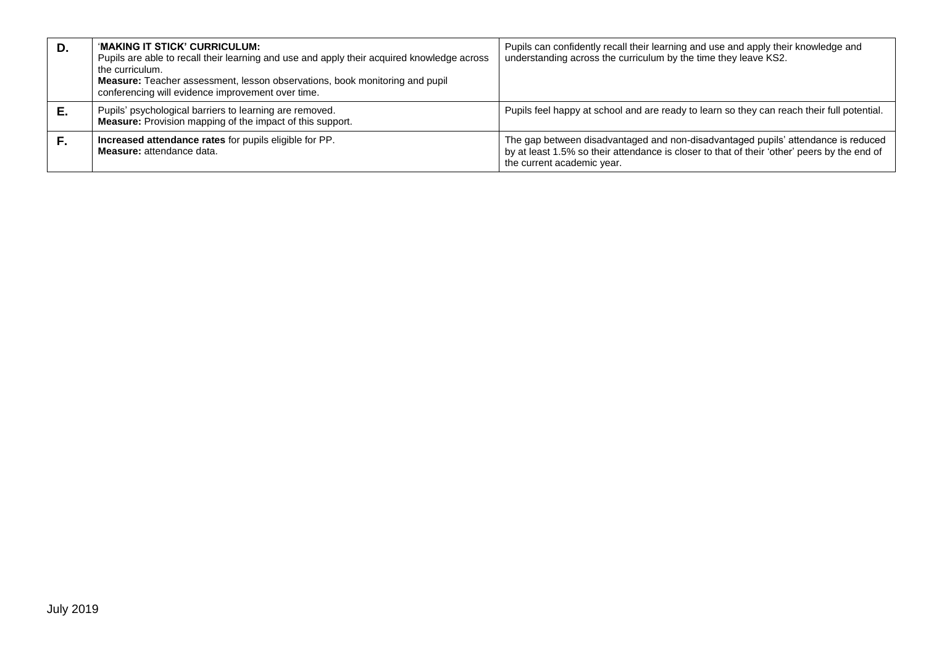| D. | 'MAKING IT STICK' CURRICULUM:<br>Pupils are able to recall their learning and use and apply their acquired knowledge across<br>the curriculum.<br><b>Measure:</b> Teacher assessment, lesson observations, book monitoring and pupil<br>conferencing will evidence improvement over time. | Pupils can confidently recall their learning and use and apply their knowledge and<br>understanding across the curriculum by the time they leave KS2.                                                          |
|----|-------------------------------------------------------------------------------------------------------------------------------------------------------------------------------------------------------------------------------------------------------------------------------------------|----------------------------------------------------------------------------------------------------------------------------------------------------------------------------------------------------------------|
| Е. | Pupils' psychological barriers to learning are removed.<br><b>Measure:</b> Provision mapping of the impact of this support.                                                                                                                                                               | Pupils feel happy at school and are ready to learn so they can reach their full potential.                                                                                                                     |
| F. | Increased attendance rates for pupils eligible for PP.<br><b>Measure:</b> attendance data.                                                                                                                                                                                                | The gap between disadvantaged and non-disadvantaged pupils' attendance is reduced<br>by at least 1.5% so their attendance is closer to that of their 'other' peers by the end of<br>the current academic year. |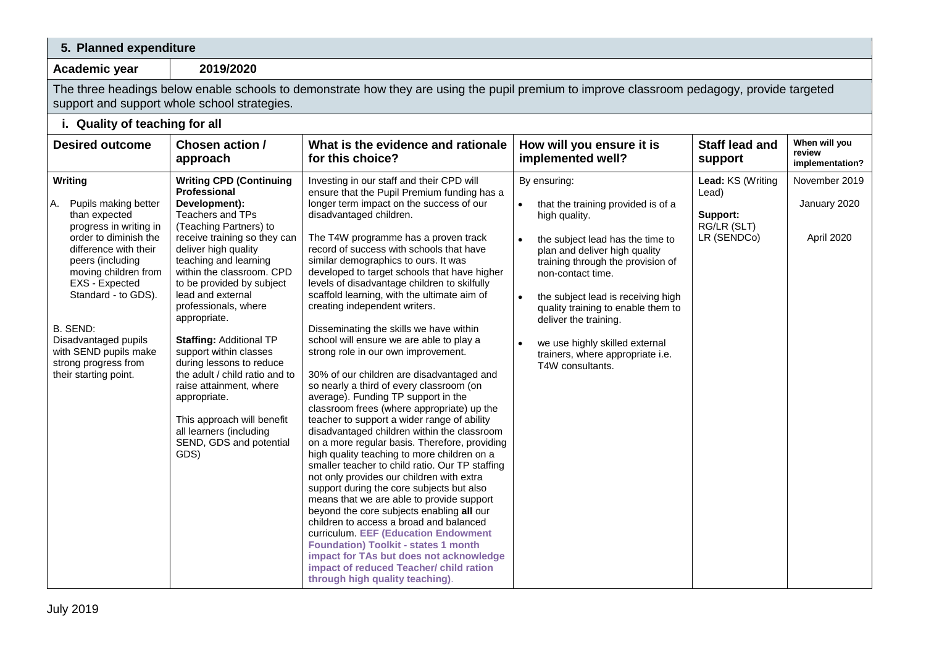## **5. Planned expenditure**

**Academic year 2019/2020**

The three headings below enable schools to demonstrate how they are using the pupil premium to improve classroom pedagogy, provide targeted support and support whole school strategies.

| i. Quality of teaching for all                                                                                                                                                                                                                                                                                                        |                                                                                                                                                                                                                                                                                                                                                                                                                                                                                                                                                                                               |                                                                                                                                                                                                                                                                                                                                                                                                                                                                                                                                                                                                                                                                                                                                                                                                                                                                                                                                                                                                                                                                                                                                                                                                                                                                                                                                                                                                                                                                                         |                                                                                                                                                                                                                                                                                                                                                                                                                |                                                                      |                                             |
|---------------------------------------------------------------------------------------------------------------------------------------------------------------------------------------------------------------------------------------------------------------------------------------------------------------------------------------|-----------------------------------------------------------------------------------------------------------------------------------------------------------------------------------------------------------------------------------------------------------------------------------------------------------------------------------------------------------------------------------------------------------------------------------------------------------------------------------------------------------------------------------------------------------------------------------------------|-----------------------------------------------------------------------------------------------------------------------------------------------------------------------------------------------------------------------------------------------------------------------------------------------------------------------------------------------------------------------------------------------------------------------------------------------------------------------------------------------------------------------------------------------------------------------------------------------------------------------------------------------------------------------------------------------------------------------------------------------------------------------------------------------------------------------------------------------------------------------------------------------------------------------------------------------------------------------------------------------------------------------------------------------------------------------------------------------------------------------------------------------------------------------------------------------------------------------------------------------------------------------------------------------------------------------------------------------------------------------------------------------------------------------------------------------------------------------------------------|----------------------------------------------------------------------------------------------------------------------------------------------------------------------------------------------------------------------------------------------------------------------------------------------------------------------------------------------------------------------------------------------------------------|----------------------------------------------------------------------|---------------------------------------------|
| <b>Desired outcome</b>                                                                                                                                                                                                                                                                                                                | Chosen action /<br>approach                                                                                                                                                                                                                                                                                                                                                                                                                                                                                                                                                                   | What is the evidence and rationale<br>for this choice?                                                                                                                                                                                                                                                                                                                                                                                                                                                                                                                                                                                                                                                                                                                                                                                                                                                                                                                                                                                                                                                                                                                                                                                                                                                                                                                                                                                                                                  | How will you ensure it is<br>implemented well?                                                                                                                                                                                                                                                                                                                                                                 | <b>Staff lead and</b><br>support                                     | When will you<br>review<br>implementation?  |
| Writing<br>Pupils making better<br>А.<br>than expected<br>progress in writing in<br>order to diminish the<br>difference with their<br>peers (including<br>moving children from<br>EXS - Expected<br>Standard - to GDS).<br>B. SEND:<br>Disadvantaged pupils<br>with SEND pupils make<br>strong progress from<br>their starting point. | <b>Writing CPD (Continuing</b><br><b>Professional</b><br>Development):<br>Teachers and TPs<br>(Teaching Partners) to<br>receive training so they can<br>deliver high quality<br>teaching and learning<br>within the classroom. CPD<br>to be provided by subject<br>lead and external<br>professionals, where<br>appropriate.<br><b>Staffing: Additional TP</b><br>support within classes<br>during lessons to reduce<br>the adult / child ratio and to<br>raise attainment, where<br>appropriate.<br>This approach will benefit<br>all learners (including<br>SEND, GDS and potential<br>GDS) | Investing in our staff and their CPD will<br>ensure that the Pupil Premium funding has a<br>longer term impact on the success of our<br>disadvantaged children.<br>The T4W programme has a proven track<br>record of success with schools that have<br>similar demographics to ours. It was<br>developed to target schools that have higher<br>levels of disadvantage children to skilfully<br>scaffold learning, with the ultimate aim of<br>creating independent writers.<br>Disseminating the skills we have within<br>school will ensure we are able to play a<br>strong role in our own improvement.<br>30% of our children are disadvantaged and<br>so nearly a third of every classroom (on<br>average). Funding TP support in the<br>classroom frees (where appropriate) up the<br>teacher to support a wider range of ability<br>disadvantaged children within the classroom<br>on a more regular basis. Therefore, providing<br>high quality teaching to more children on a<br>smaller teacher to child ratio. Our TP staffing<br>not only provides our children with extra<br>support during the core subjects but also<br>means that we are able to provide support<br>beyond the core subjects enabling all our<br>children to access a broad and balanced<br>curriculum. EEF (Education Endowment<br><b>Foundation) Toolkit - states 1 month</b><br>impact for TAs but does not acknowledge<br>impact of reduced Teacher/ child ration<br>through high quality teaching). | By ensuring:<br>that the training provided is of a<br>$\bullet$<br>high quality.<br>the subject lead has the time to<br>plan and deliver high quality<br>training through the provision of<br>non-contact time.<br>the subject lead is receiving high<br>quality training to enable them to<br>deliver the training.<br>we use highly skilled external<br>trainers, where appropriate i.e.<br>T4W consultants. | Lead: KS (Writing<br>Lead)<br>Support:<br>RG/LR (SLT)<br>LR (SENDCo) | November 2019<br>January 2020<br>April 2020 |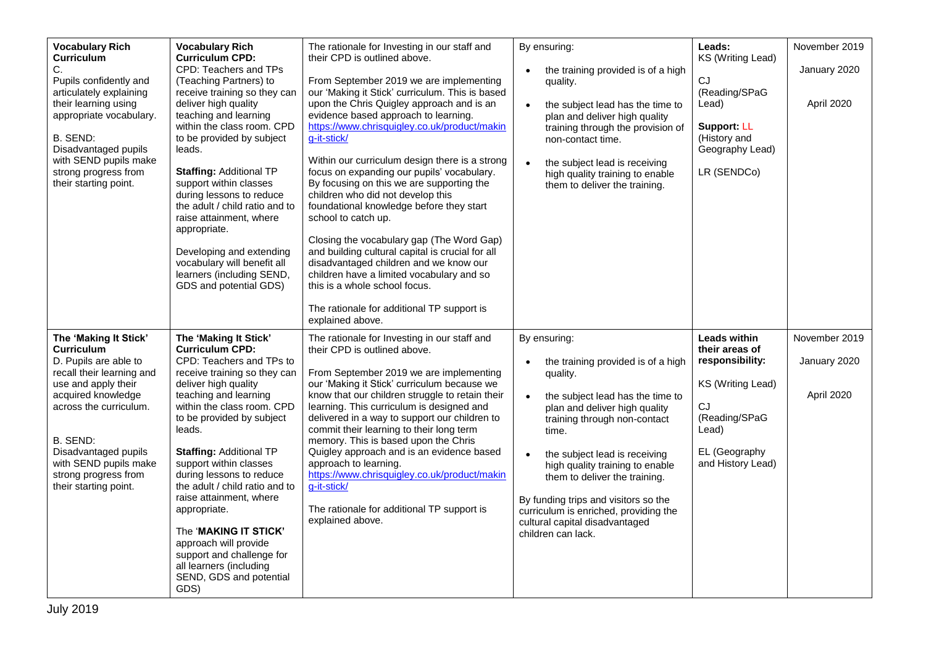| <b>Vocabulary Rich</b><br>Curriculum<br>C.<br>Pupils confidently and<br>articulately explaining<br>their learning using<br>appropriate vocabulary.<br>B. SEND:<br>Disadvantaged pupils<br>with SEND pupils make<br>strong progress from<br>their starting point.                      | <b>Vocabulary Rich</b><br><b>Curriculum CPD:</b><br>CPD: Teachers and TPs<br>(Teaching Partners) to<br>receive training so they can<br>deliver high quality<br>teaching and learning<br>within the class room. CPD<br>to be provided by subject<br>leads.<br><b>Staffing: Additional TP</b><br>support within classes<br>during lessons to reduce<br>the adult / child ratio and to<br>raise attainment, where<br>appropriate.<br>Developing and extending<br>vocabulary will benefit all<br>learners (including SEND,<br>GDS and potential GDS)            | The rationale for Investing in our staff and<br>their CPD is outlined above.<br>From September 2019 we are implementing<br>our 'Making it Stick' curriculum. This is based<br>upon the Chris Quigley approach and is an<br>evidence based approach to learning.<br>https://www.chrisquigley.co.uk/product/makin<br>g-it-stick/<br>Within our curriculum design there is a strong<br>focus on expanding our pupils' vocabulary.<br>By focusing on this we are supporting the<br>children who did not develop this<br>foundational knowledge before they start<br>school to catch up.<br>Closing the vocabulary gap (The Word Gap)<br>and building cultural capital is crucial for all<br>disadvantaged children and we know our<br>children have a limited vocabulary and so<br>this is a whole school focus.<br>The rationale for additional TP support is | By ensuring:<br>the training provided is of a high<br>quality.<br>the subject lead has the time to<br>plan and deliver high quality<br>training through the provision of<br>non-contact time.<br>the subject lead is receiving<br>high quality training to enable<br>them to deliver the training.                                                                                                                         | Leads:<br>KS (Writing Lead)<br>CJ<br>(Reading/SPaG<br>Lead)<br><b>Support: LL</b><br>(History and<br>Geography Lead)<br>LR (SENDCo)                 | November 2019<br>January 2020<br>April 2020 |
|---------------------------------------------------------------------------------------------------------------------------------------------------------------------------------------------------------------------------------------------------------------------------------------|-------------------------------------------------------------------------------------------------------------------------------------------------------------------------------------------------------------------------------------------------------------------------------------------------------------------------------------------------------------------------------------------------------------------------------------------------------------------------------------------------------------------------------------------------------------|------------------------------------------------------------------------------------------------------------------------------------------------------------------------------------------------------------------------------------------------------------------------------------------------------------------------------------------------------------------------------------------------------------------------------------------------------------------------------------------------------------------------------------------------------------------------------------------------------------------------------------------------------------------------------------------------------------------------------------------------------------------------------------------------------------------------------------------------------------|----------------------------------------------------------------------------------------------------------------------------------------------------------------------------------------------------------------------------------------------------------------------------------------------------------------------------------------------------------------------------------------------------------------------------|-----------------------------------------------------------------------------------------------------------------------------------------------------|---------------------------------------------|
| The 'Making It Stick'<br><b>Curriculum</b><br>D. Pupils are able to<br>recall their learning and<br>use and apply their<br>acquired knowledge<br>across the curriculum.<br>B. SEND:<br>Disadvantaged pupils<br>with SEND pupils make<br>strong progress from<br>their starting point. | The 'Making It Stick'<br><b>Curriculum CPD:</b><br>CPD: Teachers and TPs to<br>receive training so they can<br>deliver high quality<br>teaching and learning<br>within the class room. CPD<br>to be provided by subject<br>leads.<br><b>Staffing: Additional TP</b><br>support within classes<br>during lessons to reduce<br>the adult / child ratio and to<br>raise attainment, where<br>appropriate.<br>The ' <b>MAKING IT STICK'</b><br>approach will provide<br>support and challenge for<br>all learners (including<br>SEND, GDS and potential<br>GDS) | explained above.<br>The rationale for Investing in our staff and<br>their CPD is outlined above.<br>From September 2019 we are implementing<br>our 'Making it Stick' curriculum because we<br>know that our children struggle to retain their<br>learning. This curriculum is designed and<br>delivered in a way to support our children to<br>commit their learning to their long term<br>memory. This is based upon the Chris<br>Quigley approach and is an evidence based<br>approach to learning.<br>https://www.chrisquigley.co.uk/product/makin<br>g-it-stick/<br>The rationale for additional TP support is<br>explained above.                                                                                                                                                                                                                     | By ensuring:<br>the training provided is of a high<br>quality.<br>the subject lead has the time to<br>plan and deliver high quality<br>training through non-contact<br>time.<br>the subject lead is receiving<br>high quality training to enable<br>them to deliver the training.<br>By funding trips and visitors so the<br>curriculum is enriched, providing the<br>cultural capital disadvantaged<br>children can lack. | <b>Leads within</b><br>their areas of<br>responsibility:<br>KS (Writing Lead)<br>CJ<br>(Reading/SPaG<br>Lead)<br>EL (Geography<br>and History Lead) | November 2019<br>January 2020<br>April 2020 |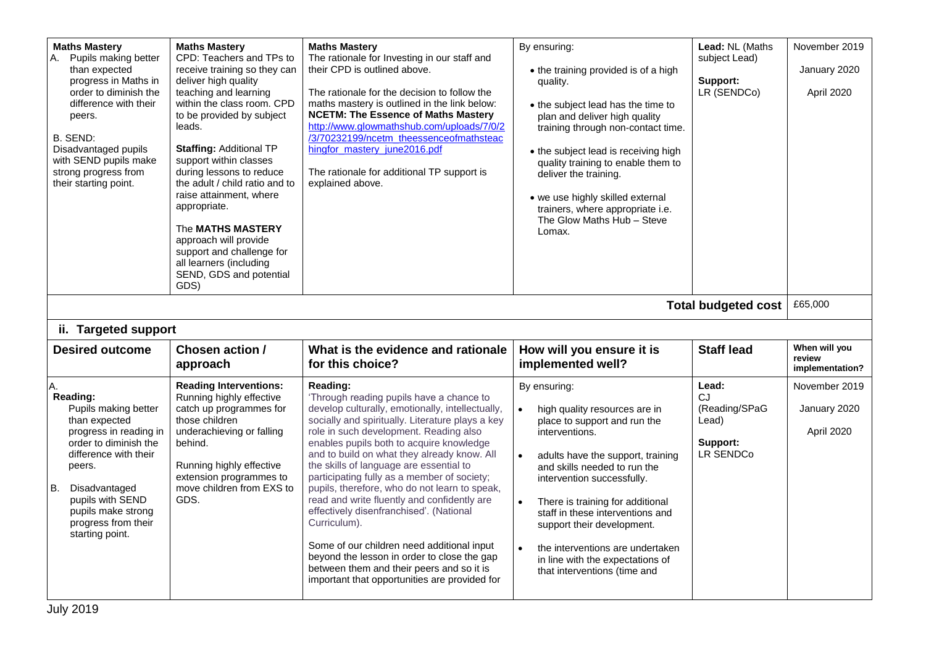| <b>Maths Mastery</b><br>Pupils making better<br>А.<br>than expected<br>progress in Maths in<br>order to diminish the<br>difference with their<br>peers.<br><b>B. SEND:</b><br>Disadvantaged pupils<br>with SEND pupils make<br>strong progress from<br>their starting point. | <b>Maths Mastery</b><br>CPD: Teachers and TPs to<br>receive training so they can<br>deliver high quality<br>teaching and learning<br>within the class room. CPD<br>to be provided by subject<br>leads.<br><b>Staffing: Additional TP</b><br>support within classes<br>during lessons to reduce<br>the adult / child ratio and to<br>raise attainment, where<br>appropriate.<br>The <b>MATHS MASTERY</b><br>approach will provide<br>support and challenge for<br>all learners (including<br>SEND, GDS and potential<br>GDS) | <b>Maths Mastery</b><br>The rationale for Investing in our staff and<br>their CPD is outlined above.<br>The rationale for the decision to follow the<br>maths mastery is outlined in the link below:<br><b>NCETM: The Essence of Maths Mastery</b><br>http://www.glowmathshub.com/uploads/7/0/2<br>/3/70232199/ncetm_theessenceofmathsteac<br>hingfor_mastery_june2016.pdf<br>The rationale for additional TP support is<br>explained above.                                                                                                                                                                                                                                                                                                      | By ensuring:<br>• the training provided is of a high<br>quality.<br>• the subject lead has the time to<br>plan and deliver high quality<br>training through non-contact time.<br>• the subject lead is receiving high<br>quality training to enable them to<br>deliver the training.<br>• we use highly skilled external<br>trainers, where appropriate i.e.<br>The Glow Maths Hub - Steve<br>Lomax.                          | Lead: NL (Maths<br>subject Lead)<br>Support:<br>LR (SENDCo)           | November 2019<br>January 2020<br>April 2020 |
|------------------------------------------------------------------------------------------------------------------------------------------------------------------------------------------------------------------------------------------------------------------------------|-----------------------------------------------------------------------------------------------------------------------------------------------------------------------------------------------------------------------------------------------------------------------------------------------------------------------------------------------------------------------------------------------------------------------------------------------------------------------------------------------------------------------------|---------------------------------------------------------------------------------------------------------------------------------------------------------------------------------------------------------------------------------------------------------------------------------------------------------------------------------------------------------------------------------------------------------------------------------------------------------------------------------------------------------------------------------------------------------------------------------------------------------------------------------------------------------------------------------------------------------------------------------------------------|-------------------------------------------------------------------------------------------------------------------------------------------------------------------------------------------------------------------------------------------------------------------------------------------------------------------------------------------------------------------------------------------------------------------------------|-----------------------------------------------------------------------|---------------------------------------------|
|                                                                                                                                                                                                                                                                              |                                                                                                                                                                                                                                                                                                                                                                                                                                                                                                                             |                                                                                                                                                                                                                                                                                                                                                                                                                                                                                                                                                                                                                                                                                                                                                   |                                                                                                                                                                                                                                                                                                                                                                                                                               | <b>Total budgeted cost</b>                                            | £65,000                                     |
| ii. Targeted support                                                                                                                                                                                                                                                         |                                                                                                                                                                                                                                                                                                                                                                                                                                                                                                                             |                                                                                                                                                                                                                                                                                                                                                                                                                                                                                                                                                                                                                                                                                                                                                   |                                                                                                                                                                                                                                                                                                                                                                                                                               |                                                                       |                                             |
| <b>Desired outcome</b>                                                                                                                                                                                                                                                       | Chosen action /<br>approach                                                                                                                                                                                                                                                                                                                                                                                                                                                                                                 | What is the evidence and rationale<br>for this choice?                                                                                                                                                                                                                                                                                                                                                                                                                                                                                                                                                                                                                                                                                            | How will you ensure it is<br>implemented well?                                                                                                                                                                                                                                                                                                                                                                                | <b>Staff lead</b>                                                     | When will you<br>review<br>implementation?  |
| A.<br>Reading:<br>Pupils making better<br>than expected<br>progress in reading in<br>order to diminish the<br>difference with their<br>peers.<br>B. Disadvantaged<br>pupils with SEND<br>pupils make strong<br>progress from their<br>starting point.                        | <b>Reading Interventions:</b><br>Running highly effective<br>catch up programmes for<br>those children<br>underachieving or falling<br>behind.<br>Running highly effective<br>extension programmes to<br>move children from EXS to<br>GDS.                                                                                                                                                                                                                                                                                  | Reading:<br>'Through reading pupils have a chance to<br>develop culturally, emotionally, intellectually,<br>socially and spiritually. Literature plays a key<br>role in such development. Reading also<br>enables pupils both to acquire knowledge<br>and to build on what they already know. All<br>the skills of language are essential to<br>participating fully as a member of society;<br>pupils, therefore, who do not learn to speak,<br>read and write fluently and confidently are<br>effectively disenfranchised'. (National<br>Curriculum).<br>Some of our children need additional input<br>beyond the lesson in order to close the gap<br>between them and their peers and so it is<br>important that opportunities are provided for | By ensuring:<br>high quality resources are in<br>place to support and run the<br>interventions.<br>adults have the support, training<br>$\bullet$<br>and skills needed to run the<br>intervention successfully.<br>There is training for additional<br>staff in these interventions and<br>support their development.<br>the interventions are undertaken<br>in line with the expectations of<br>that interventions (time and | Lead:<br><b>CJ</b><br>(Reading/SPaG<br>Lead)<br>Support:<br>LR SENDCo | November 2019<br>January 2020<br>April 2020 |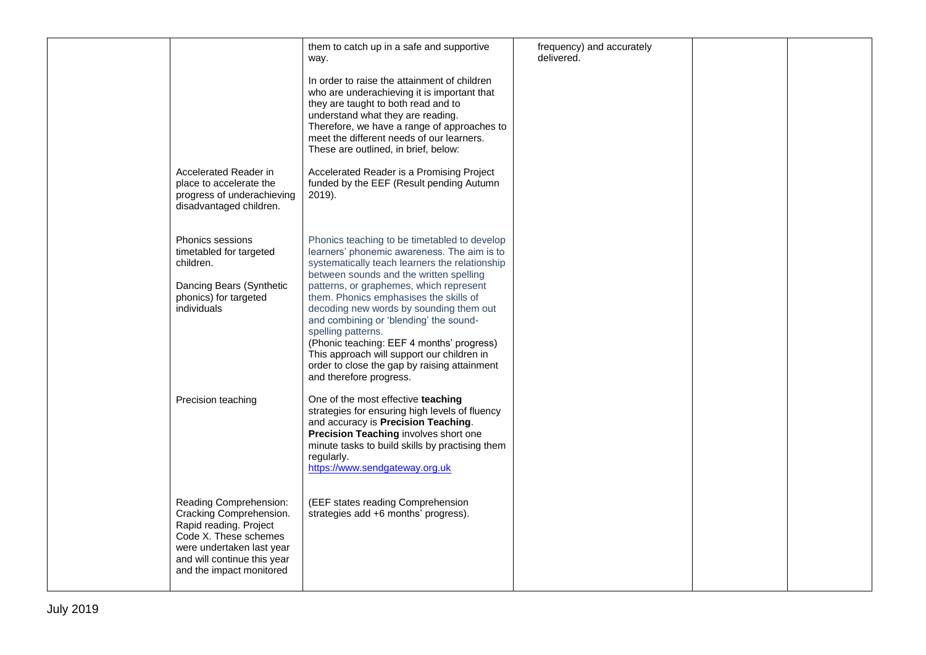|                                                                                                                                                                                              | them to catch up in a safe and supportive<br>way.                                                                                                                                                                                                                                                                                                                                                                                                                                                                                                              | frequency) and accurately<br>delivered. |  |
|----------------------------------------------------------------------------------------------------------------------------------------------------------------------------------------------|----------------------------------------------------------------------------------------------------------------------------------------------------------------------------------------------------------------------------------------------------------------------------------------------------------------------------------------------------------------------------------------------------------------------------------------------------------------------------------------------------------------------------------------------------------------|-----------------------------------------|--|
|                                                                                                                                                                                              | In order to raise the attainment of children<br>who are underachieving it is important that<br>they are taught to both read and to<br>understand what they are reading.<br>Therefore, we have a range of approaches to<br>meet the different needs of our learners.<br>These are outlined, in brief, below:                                                                                                                                                                                                                                                    |                                         |  |
| Accelerated Reader in<br>place to accelerate the<br>progress of underachieving<br>disadvantaged children.                                                                                    | Accelerated Reader is a Promising Project<br>funded by the EEF (Result pending Autumn<br>2019).                                                                                                                                                                                                                                                                                                                                                                                                                                                                |                                         |  |
| <b>Phonics sessions</b><br>timetabled for targeted<br>children.<br>Dancing Bears (Synthetic<br>phonics) for targeted<br>individuals                                                          | Phonics teaching to be timetabled to develop<br>learners' phonemic awareness. The aim is to<br>systematically teach learners the relationship<br>between sounds and the written spelling<br>patterns, or graphemes, which represent<br>them. Phonics emphasises the skills of<br>decoding new words by sounding them out<br>and combining or 'blending' the sound-<br>spelling patterns.<br>(Phonic teaching: EEF 4 months' progress)<br>This approach will support our children in<br>order to close the gap by raising attainment<br>and therefore progress. |                                         |  |
| Precision teaching                                                                                                                                                                           | One of the most effective teaching<br>strategies for ensuring high levels of fluency<br>and accuracy is Precision Teaching.<br>Precision Teaching involves short one<br>minute tasks to build skills by practising them<br>regularly.<br>https://www.sendgateway.org.uk                                                                                                                                                                                                                                                                                        |                                         |  |
| Reading Comprehension:<br>Cracking Comprehension.<br>Rapid reading. Project<br>Code X. These schemes<br>were undertaken last year<br>and will continue this year<br>and the impact monitored | (EEF states reading Comprehension<br>strategies add +6 months' progress).                                                                                                                                                                                                                                                                                                                                                                                                                                                                                      |                                         |  |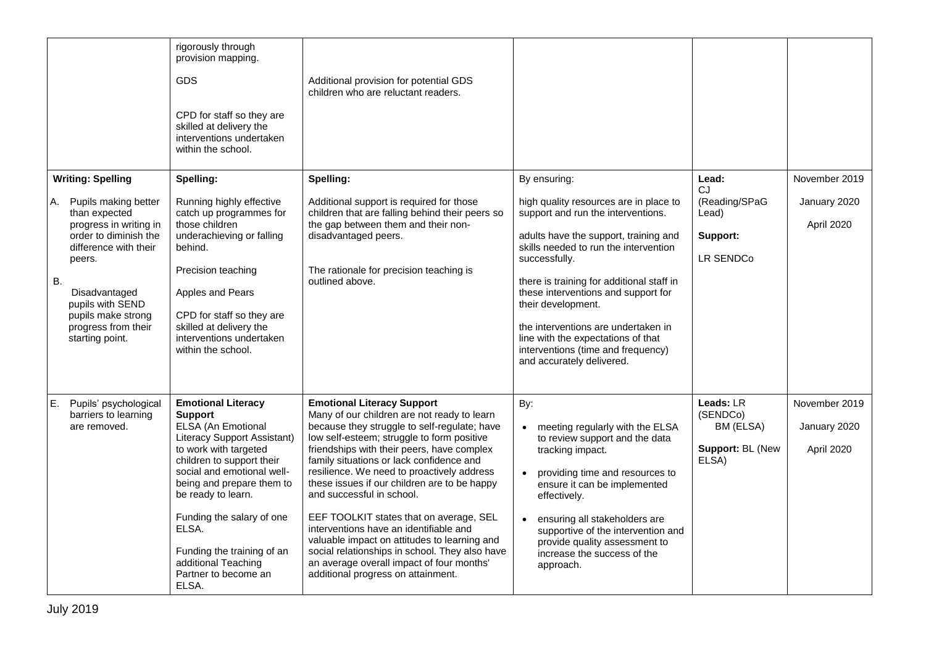|                                                                                                                                                                                                                                                                       | rigorously through<br>provision mapping.<br><b>GDS</b><br>CPD for staff so they are<br>skilled at delivery the<br>interventions undertaken<br>within the school.                                                                                                                                                                                                           | Additional provision for potential GDS<br>children who are reluctant readers.                                                                                                                                                                                                                                                                                                                                                                                                                                                                                                                                                                                                 |                                                                                                                                                                                                                                                                                                                                                                                                                                                           |                                                                 |                                             |
|-----------------------------------------------------------------------------------------------------------------------------------------------------------------------------------------------------------------------------------------------------------------------|----------------------------------------------------------------------------------------------------------------------------------------------------------------------------------------------------------------------------------------------------------------------------------------------------------------------------------------------------------------------------|-------------------------------------------------------------------------------------------------------------------------------------------------------------------------------------------------------------------------------------------------------------------------------------------------------------------------------------------------------------------------------------------------------------------------------------------------------------------------------------------------------------------------------------------------------------------------------------------------------------------------------------------------------------------------------|-----------------------------------------------------------------------------------------------------------------------------------------------------------------------------------------------------------------------------------------------------------------------------------------------------------------------------------------------------------------------------------------------------------------------------------------------------------|-----------------------------------------------------------------|---------------------------------------------|
| <b>Writing: Spelling</b><br>A. Pupils making better<br>than expected<br>progress in writing in<br>order to diminish the<br>difference with their<br>peers.<br>В.<br>Disadvantaged<br>pupils with SEND<br>pupils make strong<br>progress from their<br>starting point. | Spelling:<br>Running highly effective<br>catch up programmes for<br>those children<br>underachieving or falling<br>behind.<br>Precision teaching<br>Apples and Pears<br>CPD for staff so they are<br>skilled at delivery the<br>interventions undertaken<br>within the school.                                                                                             | Spelling:<br>Additional support is required for those<br>children that are falling behind their peers so<br>the gap between them and their non-<br>disadvantaged peers.<br>The rationale for precision teaching is<br>outlined above.                                                                                                                                                                                                                                                                                                                                                                                                                                         | By ensuring:<br>high quality resources are in place to<br>support and run the interventions.<br>adults have the support, training and<br>skills needed to run the intervention<br>successfully.<br>there is training for additional staff in<br>these interventions and support for<br>their development.<br>the interventions are undertaken in<br>line with the expectations of that<br>interventions (time and frequency)<br>and accurately delivered. | Lead:<br>CJ<br>(Reading/SPaG<br>Lead)<br>Support:<br>LR SENDCo  | November 2019<br>January 2020<br>April 2020 |
| E.<br>Pupils' psychological<br>barriers to learning<br>are removed.                                                                                                                                                                                                   | <b>Emotional Literacy</b><br><b>Support</b><br>ELSA (An Emotional<br><b>Literacy Support Assistant)</b><br>to work with targeted<br>children to support their<br>social and emotional well-<br>being and prepare them to<br>be ready to learn.<br>Funding the salary of one<br>ELSA.<br>Funding the training of an<br>additional Teaching<br>Partner to become an<br>ELSA. | <b>Emotional Literacy Support</b><br>Many of our children are not ready to learn<br>because they struggle to self-regulate; have<br>low self-esteem; struggle to form positive<br>friendships with their peers, have complex<br>family situations or lack confidence and<br>resilience. We need to proactively address<br>these issues if our children are to be happy<br>and successful in school.<br>EEF TOOLKIT states that on average, SEL<br>interventions have an identifiable and<br>valuable impact on attitudes to learning and<br>social relationships in school. They also have<br>an average overall impact of four months'<br>additional progress on attainment. | By:<br>meeting regularly with the ELSA<br>to review support and the data<br>tracking impact.<br>providing time and resources to<br>ensure it can be implemented<br>effectively.<br>ensuring all stakeholders are<br>supportive of the intervention and<br>provide quality assessment to<br>increase the success of the<br>approach.                                                                                                                       | Leads: LR<br>(SENDCo)<br>BM (ELSA)<br>Support: BL (New<br>ELSA) | November 2019<br>January 2020<br>April 2020 |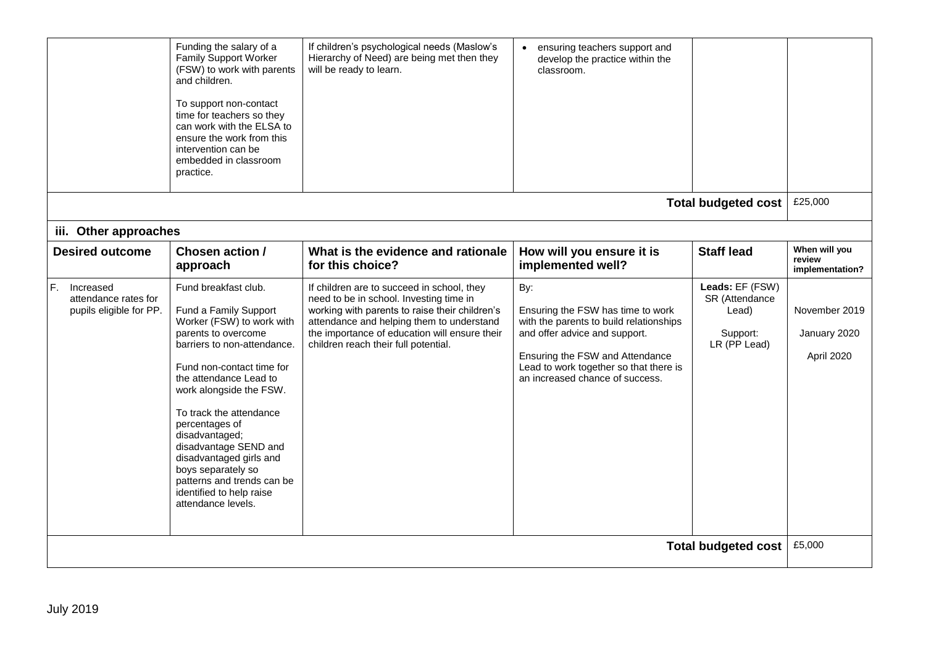|                                                                    |                                                                                                                                                                                                                                                                                                                                                                                                                                                         |                                                                                                                                                                                                                                                                                                   |                                                                                                                                                                                                                                                           | <b>Total budgeted cost</b>                                             | £5,000                                                         |
|--------------------------------------------------------------------|---------------------------------------------------------------------------------------------------------------------------------------------------------------------------------------------------------------------------------------------------------------------------------------------------------------------------------------------------------------------------------------------------------------------------------------------------------|---------------------------------------------------------------------------------------------------------------------------------------------------------------------------------------------------------------------------------------------------------------------------------------------------|-----------------------------------------------------------------------------------------------------------------------------------------------------------------------------------------------------------------------------------------------------------|------------------------------------------------------------------------|----------------------------------------------------------------|
| F.<br>Increased<br>attendance rates for<br>pupils eligible for PP. | approach<br>Fund breakfast club.<br>Fund a Family Support<br>Worker (FSW) to work with<br>parents to overcome<br>barriers to non-attendance.<br>Fund non-contact time for<br>the attendance Lead to<br>work alongside the FSW.<br>To track the attendance<br>percentages of<br>disadvantaged;<br>disadvantage SEND and<br>disadvantaged girls and<br>boys separately so<br>patterns and trends can be<br>identified to help raise<br>attendance levels. | for this choice?<br>If children are to succeed in school, they<br>need to be in school. Investing time in<br>working with parents to raise their children's<br>attendance and helping them to understand<br>the importance of education will ensure their<br>children reach their full potential. | implemented well?<br>By:<br>Ensuring the FSW has time to work<br>with the parents to build relationships<br>and offer advice and support.<br>Ensuring the FSW and Attendance<br>Lead to work together so that there is<br>an increased chance of success. | Leads: EF (FSW)<br>SR (Attendance<br>Lead)<br>Support:<br>LR (PP Lead) | implementation?<br>November 2019<br>January 2020<br>April 2020 |
| iii. Other approaches<br><b>Desired outcome</b>                    | Chosen action /                                                                                                                                                                                                                                                                                                                                                                                                                                         | What is the evidence and rationale                                                                                                                                                                                                                                                                | How will you ensure it is                                                                                                                                                                                                                                 | <b>Staff lead</b>                                                      | When will you<br>review                                        |
|                                                                    |                                                                                                                                                                                                                                                                                                                                                                                                                                                         |                                                                                                                                                                                                                                                                                                   |                                                                                                                                                                                                                                                           |                                                                        |                                                                |
|                                                                    | Funding the salary of a<br><b>Family Support Worker</b><br>(FSW) to work with parents<br>and children.<br>To support non-contact<br>time for teachers so they<br>can work with the ELSA to<br>ensure the work from this<br>intervention can be<br>embedded in classroom<br>practice.                                                                                                                                                                    | If children's psychological needs (Maslow's<br>Hierarchy of Need) are being met then they<br>will be ready to learn.                                                                                                                                                                              | ensuring teachers support and<br>develop the practice within the<br>classroom.                                                                                                                                                                            | <b>Total budgeted cost</b>                                             | £25,000                                                        |
|                                                                    |                                                                                                                                                                                                                                                                                                                                                                                                                                                         |                                                                                                                                                                                                                                                                                                   |                                                                                                                                                                                                                                                           |                                                                        |                                                                |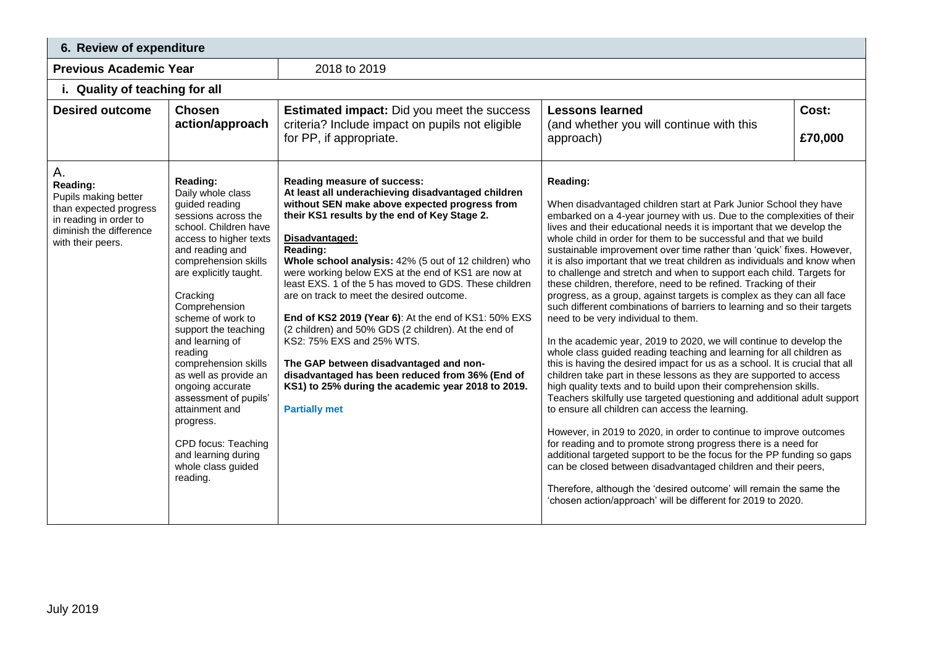| 6. Review of expenditure                                                                         |                                                                                                                                                                                                                                                                                                                                                                                                                                                                  |                                                                                                                                                                                                                                                                                                                                                                                                                                                                                                                                                                                                                           |                                                                                                                                                                                                                                                                                                                                                                                                                                                                                                                                                                                                                                                                                                                                                                                                                                                                                                                                                                                                                                                                                                                                                                                                                                                                                                                                                                                                                                                                                                                                                                                                                                                         |  |  |
|--------------------------------------------------------------------------------------------------|------------------------------------------------------------------------------------------------------------------------------------------------------------------------------------------------------------------------------------------------------------------------------------------------------------------------------------------------------------------------------------------------------------------------------------------------------------------|---------------------------------------------------------------------------------------------------------------------------------------------------------------------------------------------------------------------------------------------------------------------------------------------------------------------------------------------------------------------------------------------------------------------------------------------------------------------------------------------------------------------------------------------------------------------------------------------------------------------------|---------------------------------------------------------------------------------------------------------------------------------------------------------------------------------------------------------------------------------------------------------------------------------------------------------------------------------------------------------------------------------------------------------------------------------------------------------------------------------------------------------------------------------------------------------------------------------------------------------------------------------------------------------------------------------------------------------------------------------------------------------------------------------------------------------------------------------------------------------------------------------------------------------------------------------------------------------------------------------------------------------------------------------------------------------------------------------------------------------------------------------------------------------------------------------------------------------------------------------------------------------------------------------------------------------------------------------------------------------------------------------------------------------------------------------------------------------------------------------------------------------------------------------------------------------------------------------------------------------------------------------------------------------|--|--|
| <b>Previous Academic Year</b>                                                                    |                                                                                                                                                                                                                                                                                                                                                                                                                                                                  | 2018 to 2019                                                                                                                                                                                                                                                                                                                                                                                                                                                                                                                                                                                                              |                                                                                                                                                                                                                                                                                                                                                                                                                                                                                                                                                                                                                                                                                                                                                                                                                                                                                                                                                                                                                                                                                                                                                                                                                                                                                                                                                                                                                                                                                                                                                                                                                                                         |  |  |
| i. Quality of teaching for all                                                                   |                                                                                                                                                                                                                                                                                                                                                                                                                                                                  |                                                                                                                                                                                                                                                                                                                                                                                                                                                                                                                                                                                                                           |                                                                                                                                                                                                                                                                                                                                                                                                                                                                                                                                                                                                                                                                                                                                                                                                                                                                                                                                                                                                                                                                                                                                                                                                                                                                                                                                                                                                                                                                                                                                                                                                                                                         |  |  |
| <b>Desired outcome</b><br>Α.<br>Reading:<br>Pupils making better                                 | <b>Chosen</b><br>action/approach<br>Reading:<br>Daily whole class<br>guided reading                                                                                                                                                                                                                                                                                                                                                                              | <b>Estimated impact:</b> Did you meet the success<br>criteria? Include impact on pupils not eligible<br>for PP, if appropriate.<br>Reading measure of success:<br>At least all underachieving disadvantaged children<br>without SEN make above expected progress from                                                                                                                                                                                                                                                                                                                                                     | Cost:<br><b>Lessons learned</b><br>(and whether you will continue with this<br>£70,000<br>approach)<br>Reading:                                                                                                                                                                                                                                                                                                                                                                                                                                                                                                                                                                                                                                                                                                                                                                                                                                                                                                                                                                                                                                                                                                                                                                                                                                                                                                                                                                                                                                                                                                                                         |  |  |
| than expected progress<br>in reading in order to<br>diminish the difference<br>with their peers. | sessions across the<br>school. Children have<br>access to higher texts<br>and reading and<br>comprehension skills<br>are explicitly taught.<br>Cracking<br>Comprehension<br>scheme of work to<br>support the teaching<br>and learning of<br>reading<br>comprehension skills<br>as well as provide an<br>ongoing accurate<br>assessment of pupils'<br>attainment and<br>progress.<br>CPD focus: Teaching<br>and learning during<br>whole class guided<br>reading. | their KS1 results by the end of Key Stage 2.<br>Disadvantaged:<br>Reading:<br>Whole school analysis: 42% (5 out of 12 children) who<br>were working below EXS at the end of KS1 are now at<br>least EXS. 1 of the 5 has moved to GDS. These children<br>are on track to meet the desired outcome.<br>End of KS2 2019 (Year 6): At the end of KS1: 50% EXS<br>(2 children) and 50% GDS (2 children). At the end of<br>KS2: 75% EXS and 25% WTS.<br>The GAP between disadvantaged and non-<br>disadvantaged has been reduced from 36% (End of<br>KS1) to 25% during the academic year 2018 to 2019.<br><b>Partially met</b> | When disadvantaged children start at Park Junior School they have<br>embarked on a 4-year journey with us. Due to the complexities of their<br>lives and their educational needs it is important that we develop the<br>whole child in order for them to be successful and that we build<br>sustainable improvement over time rather than 'quick' fixes. However,<br>it is also important that we treat children as individuals and know when<br>to challenge and stretch and when to support each child. Targets for<br>these children, therefore, need to be refined. Tracking of their<br>progress, as a group, against targets is complex as they can all face<br>such different combinations of barriers to learning and so their targets<br>need to be very individual to them.<br>In the academic year, 2019 to 2020, we will continue to develop the<br>whole class guided reading teaching and learning for all children as<br>this is having the desired impact for us as a school. It is crucial that all<br>children take part in these lessons as they are supported to access<br>high quality texts and to build upon their comprehension skills.<br>Teachers skilfully use targeted questioning and additional adult support<br>to ensure all children can access the learning.<br>However, in 2019 to 2020, in order to continue to improve outcomes<br>for reading and to promote strong progress there is a need for<br>additional targeted support to be the focus for the PP funding so gaps<br>can be closed between disadvantaged children and their peers,<br>Therefore, although the 'desired outcome' will remain the same the |  |  |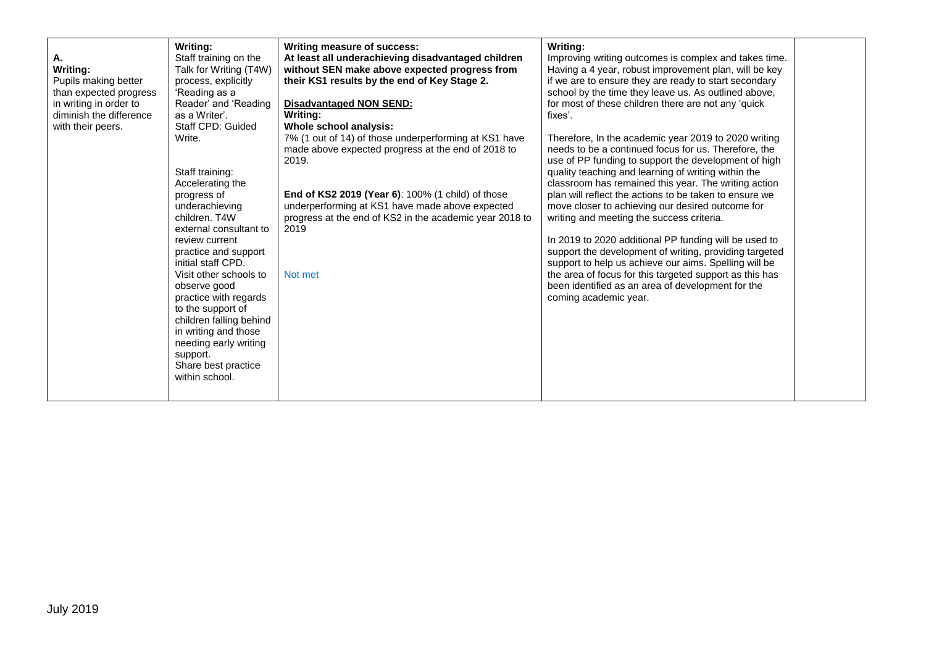| Α.<br>Writing:<br>Pupils making better<br>than expected progress<br>in writing in order to<br>diminish the difference<br>with their peers. | Writing:<br>Staff training on the<br>Talk for Writing (T4W)<br>process, explicitly<br>'Reading as a<br>Reader' and 'Reading<br>as a Writer'.<br>Staff CPD: Guided<br>Write.<br>Staff training:<br>Accelerating the<br>progress of<br>underachieving<br>children. T4W<br>external consultant to<br>review current<br>practice and support<br>initial staff CPD.<br>Visit other schools to<br>observe good<br>practice with regards<br>to the support of<br>children falling behind<br>in writing and those<br>needing early writing<br>support.<br>Share best practice<br>within school. | Writing measure of success:<br>At least all underachieving disadvantaged children<br>without SEN make above expected progress from<br>their KS1 results by the end of Key Stage 2.<br><b>Disadvantaged NON SEND:</b><br>Writina:<br>Whole school analysis:<br>7% (1 out of 14) of those underperforming at KS1 have<br>made above expected progress at the end of 2018 to<br>2019.<br>End of KS2 2019 (Year 6): 100% (1 child) of those<br>underperforming at KS1 have made above expected<br>progress at the end of KS2 in the academic year 2018 to<br>2019<br>Not met | Writing:<br>Improving writing outcomes is complex and takes time.<br>Having a 4 year, robust improvement plan, will be key<br>if we are to ensure they are ready to start secondary<br>school by the time they leave us. As outlined above,<br>for most of these children there are not any 'quick<br>fixes'.<br>Therefore, In the academic year 2019 to 2020 writing<br>needs to be a continued focus for us. Therefore, the<br>use of PP funding to support the development of high<br>quality teaching and learning of writing within the<br>classroom has remained this year. The writing action<br>plan will reflect the actions to be taken to ensure we<br>move closer to achieving our desired outcome for<br>writing and meeting the success criteria.<br>In 2019 to 2020 additional PP funding will be used to<br>support the development of writing, providing targeted<br>support to help us achieve our aims. Spelling will be<br>the area of focus for this targeted support as this has<br>been identified as an area of development for the<br>coming academic year. |  |
|--------------------------------------------------------------------------------------------------------------------------------------------|-----------------------------------------------------------------------------------------------------------------------------------------------------------------------------------------------------------------------------------------------------------------------------------------------------------------------------------------------------------------------------------------------------------------------------------------------------------------------------------------------------------------------------------------------------------------------------------------|--------------------------------------------------------------------------------------------------------------------------------------------------------------------------------------------------------------------------------------------------------------------------------------------------------------------------------------------------------------------------------------------------------------------------------------------------------------------------------------------------------------------------------------------------------------------------|--------------------------------------------------------------------------------------------------------------------------------------------------------------------------------------------------------------------------------------------------------------------------------------------------------------------------------------------------------------------------------------------------------------------------------------------------------------------------------------------------------------------------------------------------------------------------------------------------------------------------------------------------------------------------------------------------------------------------------------------------------------------------------------------------------------------------------------------------------------------------------------------------------------------------------------------------------------------------------------------------------------------------------------------------------------------------------------|--|
|--------------------------------------------------------------------------------------------------------------------------------------------|-----------------------------------------------------------------------------------------------------------------------------------------------------------------------------------------------------------------------------------------------------------------------------------------------------------------------------------------------------------------------------------------------------------------------------------------------------------------------------------------------------------------------------------------------------------------------------------------|--------------------------------------------------------------------------------------------------------------------------------------------------------------------------------------------------------------------------------------------------------------------------------------------------------------------------------------------------------------------------------------------------------------------------------------------------------------------------------------------------------------------------------------------------------------------------|--------------------------------------------------------------------------------------------------------------------------------------------------------------------------------------------------------------------------------------------------------------------------------------------------------------------------------------------------------------------------------------------------------------------------------------------------------------------------------------------------------------------------------------------------------------------------------------------------------------------------------------------------------------------------------------------------------------------------------------------------------------------------------------------------------------------------------------------------------------------------------------------------------------------------------------------------------------------------------------------------------------------------------------------------------------------------------------|--|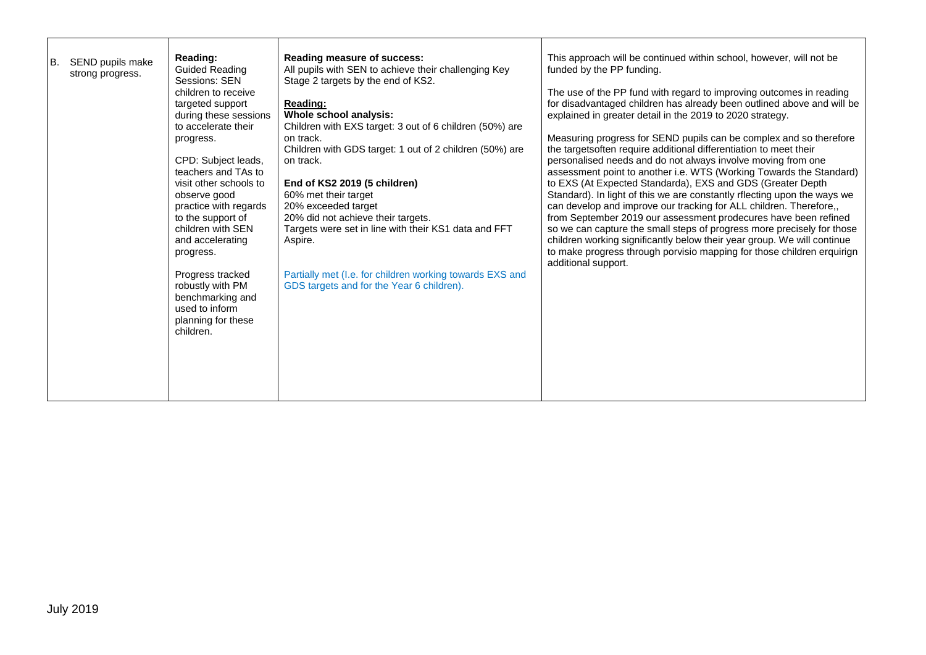| В. | SEND pupils make | Reading:                        | <b>Reading measure of success:</b>                                   | This approach will be continued within school, however, will not be                                                               |
|----|------------------|---------------------------------|----------------------------------------------------------------------|-----------------------------------------------------------------------------------------------------------------------------------|
|    | strong progress. | <b>Guided Reading</b>           | All pupils with SEN to achieve their challenging Key                 | funded by the PP funding.                                                                                                         |
|    |                  | Sessions: SEN                   | Stage 2 targets by the end of KS2.                                   |                                                                                                                                   |
|    |                  | children to receive             |                                                                      | The use of the PP fund with regard to improving outcomes in reading                                                               |
|    |                  | targeted support                | Reading:                                                             | for disadvantaged children has already been outlined above and will be                                                            |
|    |                  | during these sessions           | Whole school analysis:                                               | explained in greater detail in the 2019 to 2020 strategy.                                                                         |
|    |                  | to accelerate their             | Children with EXS target: 3 out of 6 children (50%) are              |                                                                                                                                   |
|    |                  | progress.                       | on track.                                                            | Measuring progress for SEND pupils can be complex and so therefore                                                                |
|    |                  | CPD: Subject leads,             | Children with GDS target: 1 out of 2 children (50%) are<br>on track. | the targetsoften require additional differentiation to meet their<br>personalised needs and do not always involve moving from one |
|    |                  | teachers and TAs to             |                                                                      | assessment point to another i.e. WTS (Working Towards the Standard)                                                               |
|    |                  | visit other schools to          | End of KS2 2019 (5 children)                                         | to EXS (At Expected Standarda), EXS and GDS (Greater Depth                                                                        |
|    |                  | observe good                    | 60% met their target                                                 | Standard). In light of this we are constantly rflecting upon the ways we                                                          |
|    |                  | practice with regards           | 20% exceeded target                                                  | can develop and improve our tracking for ALL children. Therefore,,                                                                |
|    |                  | to the support of               | 20% did not achieve their targets.                                   | from September 2019 our assessment prodecures have been refined                                                                   |
|    |                  | children with SEN               | Targets were set in line with their KS1 data and FFT                 | so we can capture the small steps of progress more precisely for those                                                            |
|    |                  | and accelerating                | Aspire.                                                              | children working significantly below their year group. We will continue                                                           |
|    |                  | progress.                       |                                                                      | to make progress through porvisio mapping for those children erquirign                                                            |
|    |                  |                                 |                                                                      | additional support.                                                                                                               |
|    |                  | Progress tracked                | Partially met (I.e. for children working towards EXS and             |                                                                                                                                   |
|    |                  | robustly with PM                | GDS targets and for the Year 6 children).                            |                                                                                                                                   |
|    |                  | benchmarking and                |                                                                      |                                                                                                                                   |
|    |                  | used to inform                  |                                                                      |                                                                                                                                   |
|    |                  | planning for these<br>children. |                                                                      |                                                                                                                                   |
|    |                  |                                 |                                                                      |                                                                                                                                   |
|    |                  |                                 |                                                                      |                                                                                                                                   |
|    |                  |                                 |                                                                      |                                                                                                                                   |
|    |                  |                                 |                                                                      |                                                                                                                                   |
|    |                  |                                 |                                                                      |                                                                                                                                   |
|    |                  |                                 |                                                                      |                                                                                                                                   |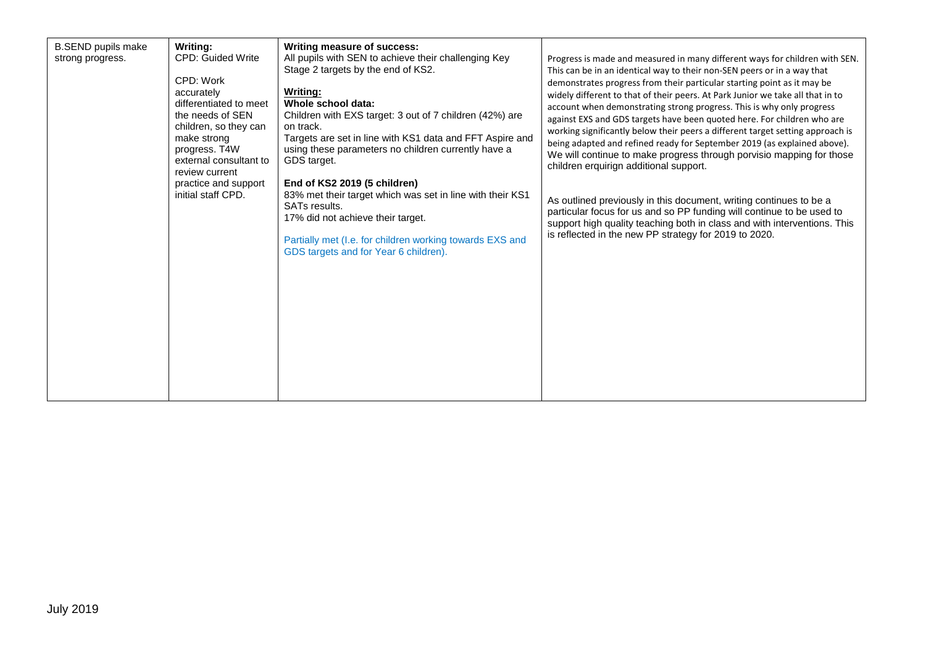| <b>B.SEND pupils make</b><br>strong progress. | Writing:<br><b>CPD: Guided Write</b><br>CPD: Work<br>accurately<br>differentiated to meet<br>the needs of SEN<br>children, so they can<br>make strong<br>progress. T4W<br>external consultant to<br>review current<br>practice and support<br>initial staff CPD. | Writing measure of success:<br>All pupils with SEN to achieve their challenging Key<br>Stage 2 targets by the end of KS2.<br>Writing:<br>Whole school data:<br>Children with EXS target: 3 out of 7 children (42%) are<br>on track.<br>Targets are set in line with KS1 data and FFT Aspire and<br>using these parameters no children currently have a<br>GDS target.<br>End of KS2 2019 (5 children)<br>83% met their target which was set in line with their KS1<br><b>SATs results.</b><br>17% did not achieve their target.<br>Partially met (I.e. for children working towards EXS and<br>GDS targets and for Year 6 children). | Progress is made and measured in many different ways for children with SEN.<br>This can be in an identical way to their non-SEN peers or in a way that<br>demonstrates progress from their particular starting point as it may be<br>widely different to that of their peers. At Park Junior we take all that in to<br>account when demonstrating strong progress. This is why only progress<br>against EXS and GDS targets have been quoted here. For children who are<br>working significantly below their peers a different target setting approach is<br>being adapted and refined ready for September 2019 (as explained above).<br>We will continue to make progress through porvisio mapping for those<br>children erquirign additional support.<br>As outlined previously in this document, writing continues to be a<br>particular focus for us and so PP funding will continue to be used to<br>support high quality teaching both in class and with interventions. This<br>is reflected in the new PP strategy for 2019 to 2020. |
|-----------------------------------------------|------------------------------------------------------------------------------------------------------------------------------------------------------------------------------------------------------------------------------------------------------------------|--------------------------------------------------------------------------------------------------------------------------------------------------------------------------------------------------------------------------------------------------------------------------------------------------------------------------------------------------------------------------------------------------------------------------------------------------------------------------------------------------------------------------------------------------------------------------------------------------------------------------------------|---------------------------------------------------------------------------------------------------------------------------------------------------------------------------------------------------------------------------------------------------------------------------------------------------------------------------------------------------------------------------------------------------------------------------------------------------------------------------------------------------------------------------------------------------------------------------------------------------------------------------------------------------------------------------------------------------------------------------------------------------------------------------------------------------------------------------------------------------------------------------------------------------------------------------------------------------------------------------------------------------------------------------------------------|
|-----------------------------------------------|------------------------------------------------------------------------------------------------------------------------------------------------------------------------------------------------------------------------------------------------------------------|--------------------------------------------------------------------------------------------------------------------------------------------------------------------------------------------------------------------------------------------------------------------------------------------------------------------------------------------------------------------------------------------------------------------------------------------------------------------------------------------------------------------------------------------------------------------------------------------------------------------------------------|---------------------------------------------------------------------------------------------------------------------------------------------------------------------------------------------------------------------------------------------------------------------------------------------------------------------------------------------------------------------------------------------------------------------------------------------------------------------------------------------------------------------------------------------------------------------------------------------------------------------------------------------------------------------------------------------------------------------------------------------------------------------------------------------------------------------------------------------------------------------------------------------------------------------------------------------------------------------------------------------------------------------------------------------|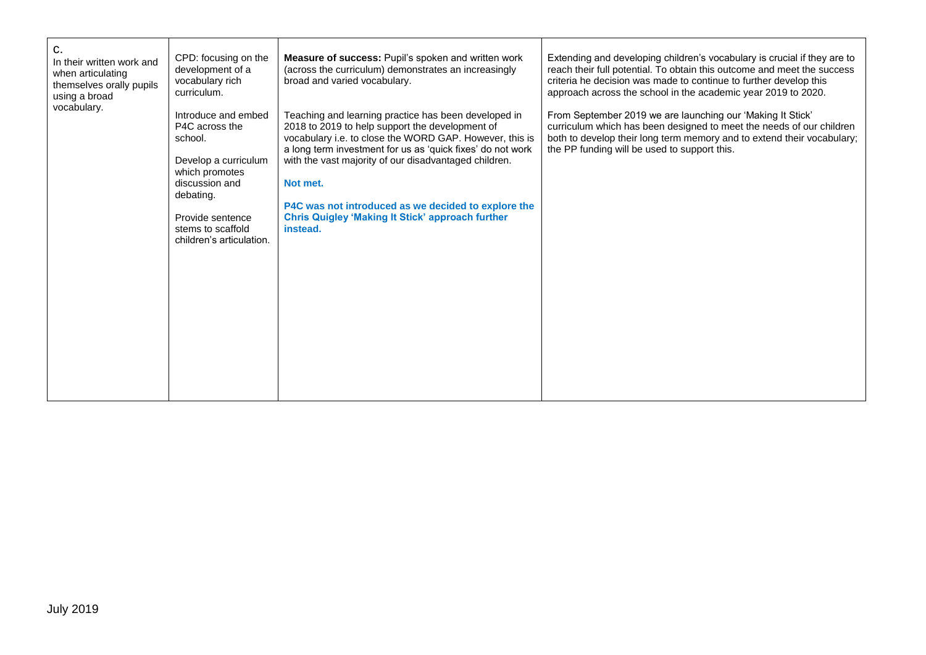| C.<br>In their written work and<br>when articulating<br>themselves orally pupils<br>using a broad<br>vocabulary. | CPD: focusing on the<br>development of a<br>vocabulary rich<br>curriculum.<br>Introduce and embed<br>P4C across the | Measure of success: Pupil's spoken and written work<br>(across the curriculum) demonstrates an increasingly<br>broad and varied vocabulary.<br>Teaching and learning practice has been developed in<br>2018 to 2019 to help support the development of | Extending and developing children's vocabulary is crucial if they are to<br>reach their full potential. To obtain this outcome and meet the success<br>criteria he decision was made to continue to further develop this<br>approach across the school in the academic year 2019 to 2020.<br>From September 2019 we are launching our 'Making It Stick'<br>curriculum which has been designed to meet the needs of our children |
|------------------------------------------------------------------------------------------------------------------|---------------------------------------------------------------------------------------------------------------------|--------------------------------------------------------------------------------------------------------------------------------------------------------------------------------------------------------------------------------------------------------|---------------------------------------------------------------------------------------------------------------------------------------------------------------------------------------------------------------------------------------------------------------------------------------------------------------------------------------------------------------------------------------------------------------------------------|
|                                                                                                                  | school.<br>Develop a curriculum<br>which promotes<br>discussion and<br>debating.                                    | vocabulary i.e. to close the WORD GAP. However, this is<br>a long term investment for us as 'quick fixes' do not work<br>with the vast majority of our disadvantaged children.<br>Not met.                                                             | both to develop their long term memory and to extend their vocabulary;<br>the PP funding will be used to support this.                                                                                                                                                                                                                                                                                                          |
|                                                                                                                  | Provide sentence<br>stems to scaffold<br>children's articulation.                                                   | P4C was not introduced as we decided to explore the<br><b>Chris Quigley 'Making It Stick' approach further</b><br>instead.                                                                                                                             |                                                                                                                                                                                                                                                                                                                                                                                                                                 |
|                                                                                                                  |                                                                                                                     |                                                                                                                                                                                                                                                        |                                                                                                                                                                                                                                                                                                                                                                                                                                 |
|                                                                                                                  |                                                                                                                     |                                                                                                                                                                                                                                                        |                                                                                                                                                                                                                                                                                                                                                                                                                                 |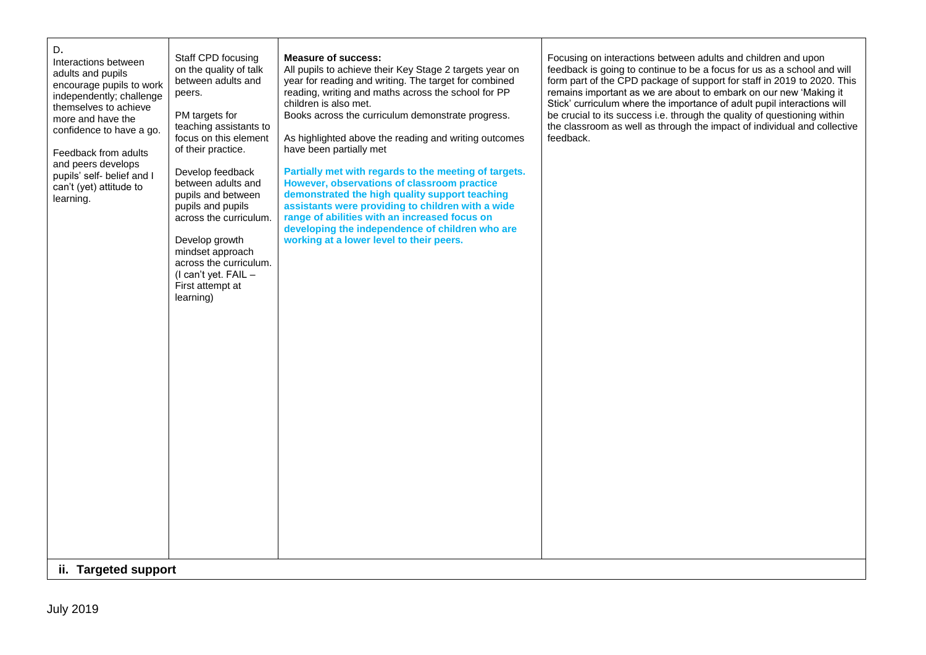| D.<br>Interactions between<br>adults and pupils<br>encourage pupils to work<br>independently; challenge<br>themselves to achieve<br>more and have the<br>confidence to have a go.<br>Feedback from adults<br>and peers develops<br>pupils' self- belief and I<br>can't (yet) attitude to<br>learning.<br>ii. Targeted support | Staff CPD focusing<br>on the quality of talk<br>between adults and<br>peers.<br>PM targets for<br>teaching assistants to<br>focus on this element<br>of their practice.<br>Develop feedback<br>between adults and<br>pupils and between<br>pupils and pupils<br>across the curriculum.<br>Develop growth<br>mindset approach<br>across the curriculum.<br>(I can't yet. FAIL -<br>First attempt at<br>learning) | <b>Measure of success:</b><br>All pupils to achieve their Key Stage 2 targets year on<br>year for reading and writing. The target for combined<br>reading, writing and maths across the school for PP<br>children is also met.<br>Books across the curriculum demonstrate progress.<br>As highlighted above the reading and writing outcomes<br>have been partially met<br>Partially met with regards to the meeting of targets.<br>However, observations of classroom practice<br>demonstrated the high quality support teaching<br>assistants were providing to children with a wide<br>range of abilities with an increased focus on<br>developing the independence of children who are<br>working at a lower level to their peers. | Focusing on interactions between adults and children and upon<br>feedback is going to continue to be a focus for us as a school and will<br>form part of the CPD package of support for staff in 2019 to 2020. This<br>remains important as we are about to embark on our new 'Making it<br>Stick' curriculum where the importance of adult pupil interactions will<br>be crucial to its success i.e. through the quality of questioning within<br>the classroom as well as through the impact of individual and collective<br>feedback. |
|-------------------------------------------------------------------------------------------------------------------------------------------------------------------------------------------------------------------------------------------------------------------------------------------------------------------------------|-----------------------------------------------------------------------------------------------------------------------------------------------------------------------------------------------------------------------------------------------------------------------------------------------------------------------------------------------------------------------------------------------------------------|----------------------------------------------------------------------------------------------------------------------------------------------------------------------------------------------------------------------------------------------------------------------------------------------------------------------------------------------------------------------------------------------------------------------------------------------------------------------------------------------------------------------------------------------------------------------------------------------------------------------------------------------------------------------------------------------------------------------------------------|------------------------------------------------------------------------------------------------------------------------------------------------------------------------------------------------------------------------------------------------------------------------------------------------------------------------------------------------------------------------------------------------------------------------------------------------------------------------------------------------------------------------------------------|
|-------------------------------------------------------------------------------------------------------------------------------------------------------------------------------------------------------------------------------------------------------------------------------------------------------------------------------|-----------------------------------------------------------------------------------------------------------------------------------------------------------------------------------------------------------------------------------------------------------------------------------------------------------------------------------------------------------------------------------------------------------------|----------------------------------------------------------------------------------------------------------------------------------------------------------------------------------------------------------------------------------------------------------------------------------------------------------------------------------------------------------------------------------------------------------------------------------------------------------------------------------------------------------------------------------------------------------------------------------------------------------------------------------------------------------------------------------------------------------------------------------------|------------------------------------------------------------------------------------------------------------------------------------------------------------------------------------------------------------------------------------------------------------------------------------------------------------------------------------------------------------------------------------------------------------------------------------------------------------------------------------------------------------------------------------------|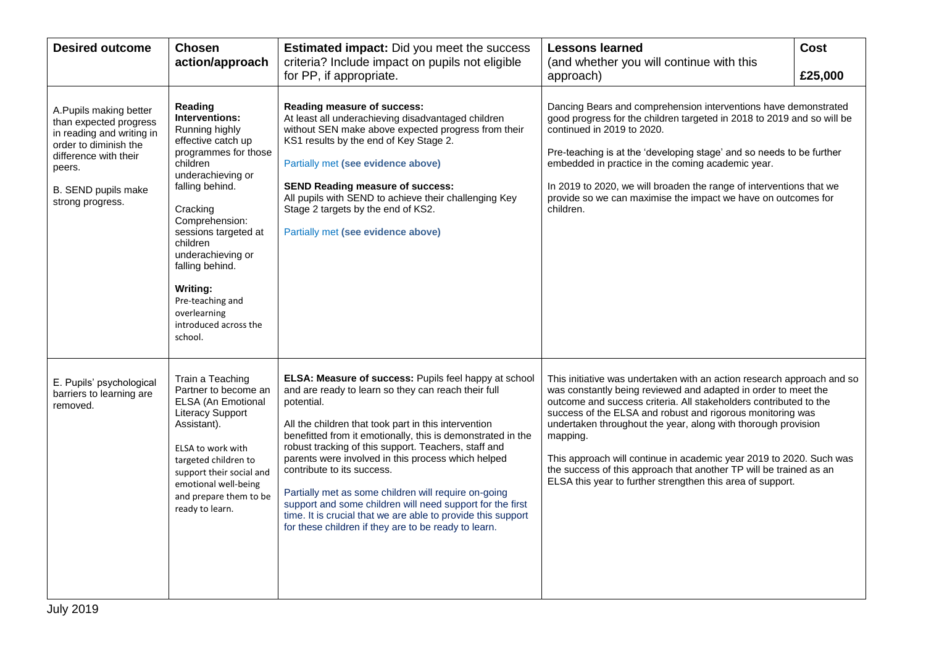| <b>Desired outcome</b>                                                                                                                                                               | <b>Chosen</b><br>action/approach                                                                                                                                                                                                                                                                                                            | <b>Estimated impact:</b> Did you meet the success<br>criteria? Include impact on pupils not eligible<br>for PP, if appropriate.                                                                                                                                                                                                                                                                                                                                                                                                                                                                                                            | <b>Lessons learned</b><br>(and whether you will continue with this<br>approach)                                                                                                                                                                                                                                                                                                                                                                                                                                                                                     | <b>Cost</b><br>£25,000 |
|--------------------------------------------------------------------------------------------------------------------------------------------------------------------------------------|---------------------------------------------------------------------------------------------------------------------------------------------------------------------------------------------------------------------------------------------------------------------------------------------------------------------------------------------|--------------------------------------------------------------------------------------------------------------------------------------------------------------------------------------------------------------------------------------------------------------------------------------------------------------------------------------------------------------------------------------------------------------------------------------------------------------------------------------------------------------------------------------------------------------------------------------------------------------------------------------------|---------------------------------------------------------------------------------------------------------------------------------------------------------------------------------------------------------------------------------------------------------------------------------------------------------------------------------------------------------------------------------------------------------------------------------------------------------------------------------------------------------------------------------------------------------------------|------------------------|
| A.Pupils making better<br>than expected progress<br>in reading and writing in<br>order to diminish the<br>difference with their<br>peers.<br>B. SEND pupils make<br>strong progress. | Reading<br>Interventions:<br>Running highly<br>effective catch up<br>programmes for those<br>children<br>underachieving or<br>falling behind.<br>Cracking<br>Comprehension:<br>sessions targeted at<br>children<br>underachieving or<br>falling behind.<br>Writing:<br>Pre-teaching and<br>overlearning<br>introduced across the<br>school. | Reading measure of success:<br>At least all underachieving disadvantaged children<br>without SEN make above expected progress from their<br>KS1 results by the end of Key Stage 2.<br>Partially met (see evidence above)<br><b>SEND Reading measure of success:</b><br>All pupils with SEND to achieve their challenging Key<br>Stage 2 targets by the end of KS2.<br>Partially met (see evidence above)                                                                                                                                                                                                                                   | Dancing Bears and comprehension interventions have demonstrated<br>good progress for the children targeted in 2018 to 2019 and so will be<br>continued in 2019 to 2020.<br>Pre-teaching is at the 'developing stage' and so needs to be further<br>embedded in practice in the coming academic year.<br>In 2019 to 2020, we will broaden the range of interventions that we<br>provide so we can maximise the impact we have on outcomes for<br>children.                                                                                                           |                        |
| E. Pupils' psychological<br>barriers to learning are<br>removed.                                                                                                                     | Train a Teaching<br>Partner to become an<br>ELSA (An Emotional<br><b>Literacy Support</b><br>Assistant).<br>ELSA to work with<br>targeted children to<br>support their social and<br>emotional well-being<br>and prepare them to be<br>ready to learn.                                                                                      | ELSA: Measure of success: Pupils feel happy at school<br>and are ready to learn so they can reach their full<br>potential.<br>All the children that took part in this intervention<br>benefitted from it emotionally, this is demonstrated in the<br>robust tracking of this support. Teachers, staff and<br>parents were involved in this process which helped<br>contribute to its success.<br>Partially met as some children will require on-going<br>support and some children will need support for the first<br>time. It is crucial that we are able to provide this support<br>for these children if they are to be ready to learn. | This initiative was undertaken with an action research approach and so<br>was constantly being reviewed and adapted in order to meet the<br>outcome and success criteria. All stakeholders contributed to the<br>success of the ELSA and robust and rigorous monitoring was<br>undertaken throughout the year, along with thorough provision<br>mapping.<br>This approach will continue in academic year 2019 to 2020. Such was<br>the success of this approach that another TP will be trained as an<br>ELSA this year to further strengthen this area of support. |                        |